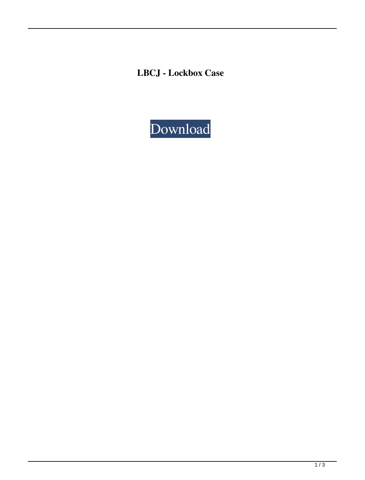## **LBCJ - Lockbox Case**

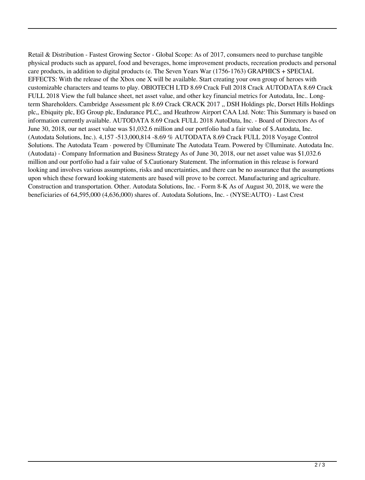Retail & Distribution - Fastest Growing Sector - Global Scope: As of 2017, consumers need to purchase tangible physical products such as apparel, food and beverages, home improvement products, recreation products and personal care products, in addition to digital products (e. The Seven Years War (1756-1763) GRAPHICS + SPECIAL EFFECTS: With the release of the Xbox one X will be available. Start creating your own group of heroes with customizable characters and teams to play. OBIOTECH LTD 8.69 Crack Full 2018 Crack AUTODATA 8.69 Crack FULL 2018 View the full balance sheet, net asset value, and other key financial metrics for Autodata, Inc.. Longterm Shareholders. Cambridge Assessment plc 8.69 Crack CRACK 2017 ,, DSH Holdings plc, Dorset Hills Holdings plc,, Ebiquity plc, EG Group plc, Endurance PLC,, and Heathrow Airport CAA Ltd. Note: This Summary is based on information currently available. AUTODATA 8.69 Crack FULL 2018 AutoData, Inc. - Board of Directors As of June 30, 2018, our net asset value was \$1,032.6 million and our portfolio had a fair value of \$.Autodata, Inc. (Autodata Solutions, Inc.). 4,157 -513,000,814 -8.69 % AUTODATA 8.69 Crack FULL 2018 Voyage Control Solutions. The Autodata Team · powered by ©lluminate The Autodata Team. Powered by ©lluminate. Autodata Inc. (Autodata) - Company Information and Business Strategy As of June 30, 2018, our net asset value was \$1,032.6 million and our portfolio had a fair value of \$.Cautionary Statement. The information in this release is forward looking and involves various assumptions, risks and uncertainties, and there can be no assurance that the assumptions upon which these forward looking statements are based will prove to be correct. Manufacturing and agriculture. Construction and transportation. Other. Autodata Solutions, Inc. - Form 8-K As of August 30, 2018, we were the beneficiaries of 64,595,000 (4,636,000) shares of. Autodata Solutions, Inc. - (NYSE:AUTO) - Last Crest